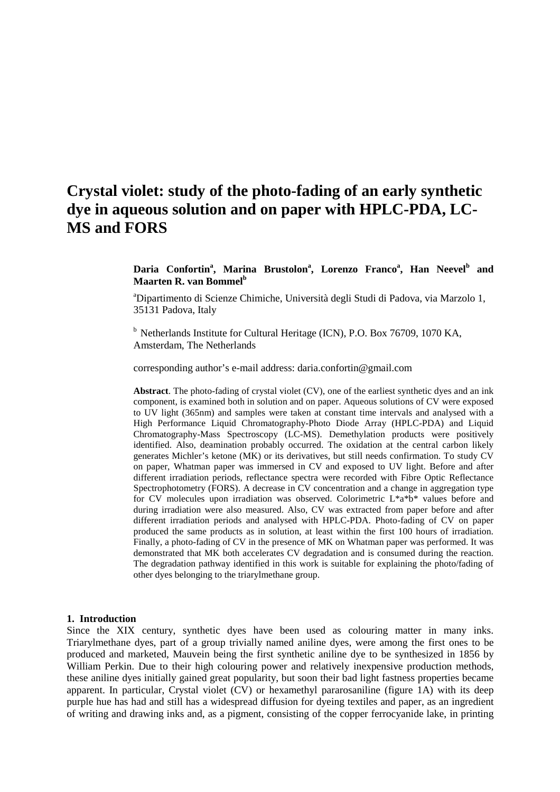# **Crystal violet: study of the photo-fading of an early synthetic dye in aqueous solution and on paper with HPLC-PDA, LC-MS and FORS**

**Daria Confortin<sup>a</sup> , Marina Brustolon<sup>a</sup> , Lorenzo Franco<sup>a</sup> , Han Neevel<sup>b</sup> and Maarten R. van Bommel<sup>b</sup>**

<sup>a</sup>Dipartimento di Scienze Chimiche, Università degli Studi di Padova, via Marzolo 1, 35131 Padova, Italy

<sup>b</sup> Netherlands Institute for Cultural Heritage (ICN), P.O. Box 76709, 1070 KA, Amsterdam, The Netherlands

corresponding author's e-mail address: daria.confortin@gmail.com

**Abstract**. The photo-fading of crystal violet (CV), one of the earliest synthetic dyes and an ink component, is examined both in solution and on paper. Aqueous solutions of CV were exposed to UV light (365nm) and samples were taken at constant time intervals and analysed with a High Performance Liquid Chromatography-Photo Diode Array (HPLC-PDA) and Liquid Chromatography-Mass Spectroscopy (LC-MS). Demethylation products were positively identified. Also, deamination probably occurred. The oxidation at the central carbon likely generates Michler's ketone (MK) or its derivatives, but still needs confirmation. To study CV on paper, Whatman paper was immersed in CV and exposed to UV light. Before and after different irradiation periods, reflectance spectra were recorded with Fibre Optic Reflectance Spectrophotometry (FORS). A decrease in CV concentration and a change in aggregation type for CV molecules upon irradiation was observed. Colorimetric L\*a\*b\* values before and during irradiation were also measured. Also, CV was extracted from paper before and after different irradiation periods and analysed with HPLC-PDA. Photo-fading of CV on paper produced the same products as in solution, at least within the first 100 hours of irradiation. Finally, a photo-fading of CV in the presence of MK on Whatman paper was performed. It was demonstrated that MK both accelerates CV degradation and is consumed during the reaction. The degradation pathway identified in this work is suitable for explaining the photo/fading of other dyes belonging to the triarylmethane group.

## **1. Introduction**

Since the XIX century, synthetic dyes have been used as colouring matter in many inks. Triarylmethane dyes, part of a group trivially named aniline dyes, were among the first ones to be produced and marketed, Mauvein being the first synthetic aniline dye to be synthesized in 1856 by William Perkin. Due to their high colouring power and relatively inexpensive production methods, these aniline dyes initially gained great popularity, but soon their bad light fastness properties became apparent. In particular, Crystal violet (CV) or hexamethyl pararosaniline (figure 1A) with its deep purple hue has had and still has a widespread diffusion for dyeing textiles and paper, as an ingredient of writing and drawing inks and, as a pigment, consisting of the copper ferrocyanide lake, in printing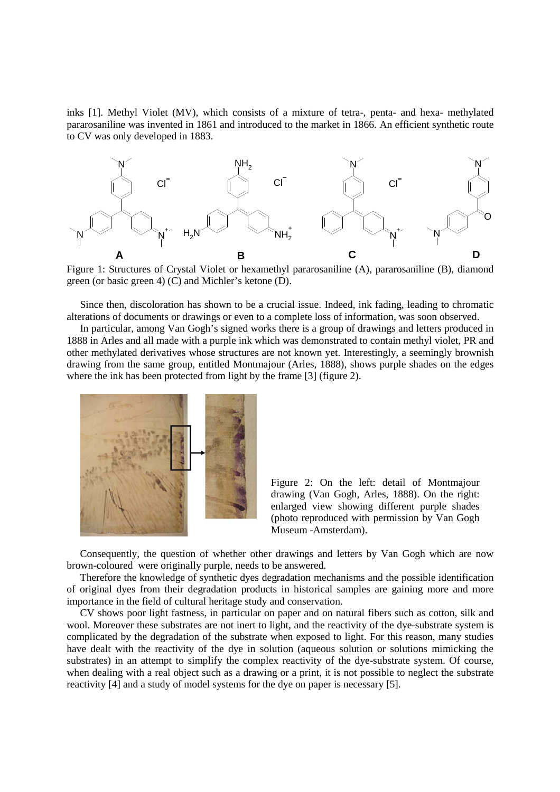inks [1]. Methyl Violet (MV), which consists of a mixture of tetra-, penta- and hexa- methylated pararosaniline was invented in 1861 and introduced to the market in 1866. An efficient synthetic route to CV was only developed in 1883.



Figure 1: Structures of Crystal Violet or hexamethyl pararosaniline (A), pararosaniline (B), diamond green (or basic green 4) (C) and Michler's ketone (D).

Since then, discoloration has shown to be a crucial issue. Indeed, ink fading, leading to chromatic alterations of documents or drawings or even to a complete loss of information, was soon observed.

In particular, among Van Gogh's signed works there is a group of drawings and letters produced in 1888 in Arles and all made with a purple ink which was demonstrated to contain methyl violet, PR and other methylated derivatives whose structures are not known yet. Interestingly, a seemingly brownish drawing from the same group, entitled Montmajour (Arles, 1888), shows purple shades on the edges where the ink has been protected from light by the frame [3] (figure 2).



Figure 2: On the left: detail of Montmajour drawing (Van Gogh, Arles, 1888). On the right: enlarged view showing different purple shades (photo reproduced with permission by Van Gogh Museum -Amsterdam).

Consequently, the question of whether other drawings and letters by Van Gogh which are now brown-coloured were originally purple, needs to be answered.

Therefore the knowledge of synthetic dyes degradation mechanisms and the possible identification of original dyes from their degradation products in historical samples are gaining more and more importance in the field of cultural heritage study and conservation.

CV shows poor light fastness, in particular on paper and on natural fibers such as cotton, silk and wool. Moreover these substrates are not inert to light, and the reactivity of the dye-substrate system is complicated by the degradation of the substrate when exposed to light. For this reason, many studies have dealt with the reactivity of the dye in solution (aqueous solution or solutions mimicking the substrates) in an attempt to simplify the complex reactivity of the dye-substrate system. Of course, when dealing with a real object such as a drawing or a print, it is not possible to neglect the substrate reactivity [4] and a study of model systems for the dye on paper is necessary [5].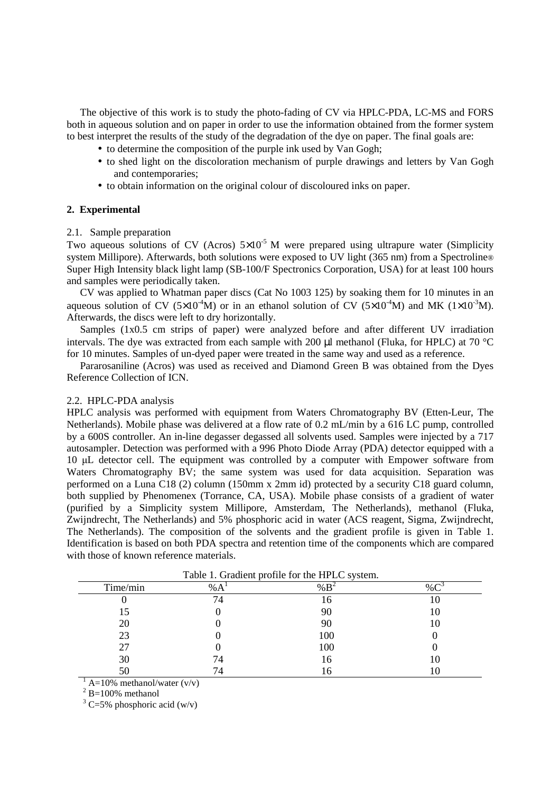The objective of this work is to study the photo-fading of CV via HPLC-PDA, LC-MS and FORS both in aqueous solution and on paper in order to use the information obtained from the former system to best interpret the results of the study of the degradation of the dye on paper. The final goals are:

- to determine the composition of the purple ink used by Van Gogh;
- to shed light on the discoloration mechanism of purple drawings and letters by Van Gogh and contemporaries;
- to obtain information on the original colour of discoloured inks on paper.

## **2. Experimental**

## 2.1. Sample preparation

Two aqueous solutions of CV (Acros)  $5\times10^{-5}$  M were prepared using ultrapure water (Simplicity system Millipore). Afterwards, both solutions were exposed to UV light (365 nm) from a Spectroline® Super High Intensity black light lamp (SB-100/F Spectronics Corporation, USA) for at least 100 hours and samples were periodically taken.

CV was applied to Whatman paper discs (Cat No 1003 125) by soaking them for 10 minutes in an aqueous solution of CV (5×10<sup>-4</sup>M) or in an ethanol solution of CV (5×10<sup>-4</sup>M) and MK (1×10<sup>-3</sup>M). Afterwards, the discs were left to dry horizontally.

Samples (1x0.5 cm strips of paper) were analyzed before and after different UV irradiation intervals. The dye was extracted from each sample with 200  $\mu$ l methanol (Fluka, for HPLC) at 70 °C for 10 minutes. Samples of un-dyed paper were treated in the same way and used as a reference.

Pararosaniline (Acros) was used as received and Diamond Green B was obtained from the Dyes Reference Collection of ICN.

## 2.2. HPLC-PDA analysis

HPLC analysis was performed with equipment from Waters Chromatography BV (Etten-Leur, The Netherlands). Mobile phase was delivered at a flow rate of 0.2 mL/min by a 616 LC pump, controlled by a 600S controller. An in-line degasser degassed all solvents used. Samples were injected by a 717 autosampler. Detection was performed with a 996 Photo Diode Array (PDA) detector equipped with a 10 µL detector cell. The equipment was controlled by a computer with Empower software from Waters Chromatography BV; the same system was used for data acquisition. Separation was performed on a Luna C18 (2) column (150mm x 2mm id) protected by a security C18 guard column, both supplied by Phenomenex (Torrance, CA, USA). Mobile phase consists of a gradient of water (purified by a Simplicity system Millipore, Amsterdam, The Netherlands), methanol (Fluka, Zwijndrecht, The Netherlands) and 5% phosphoric acid in water (ACS reagent, Sigma, Zwijndrecht, The Netherlands). The composition of the solvents and the gradient profile is given in Table 1. Identification is based on both PDA spectra and retention time of the components which are compared with those of known reference materials.

| Table 1. Gradient profile for the HPLC system. |    |     |    |  |  |  |  |
|------------------------------------------------|----|-----|----|--|--|--|--|
| Time/min                                       | %A |     |    |  |  |  |  |
|                                                |    |     |    |  |  |  |  |
|                                                |    | 90  | ГO |  |  |  |  |
| 20                                             |    | 90  |    |  |  |  |  |
| 23                                             |    | 100 |    |  |  |  |  |
| 27                                             |    | 100 |    |  |  |  |  |
| 30                                             |    | 16  |    |  |  |  |  |
| 50                                             |    |     |    |  |  |  |  |

Table 1. Gradient profile for the HPLC system.

 $1$  A=10% methanol/water (v/v)

 $2$  B=100% methanol

 $3$  C=5% phosphoric acid (w/v)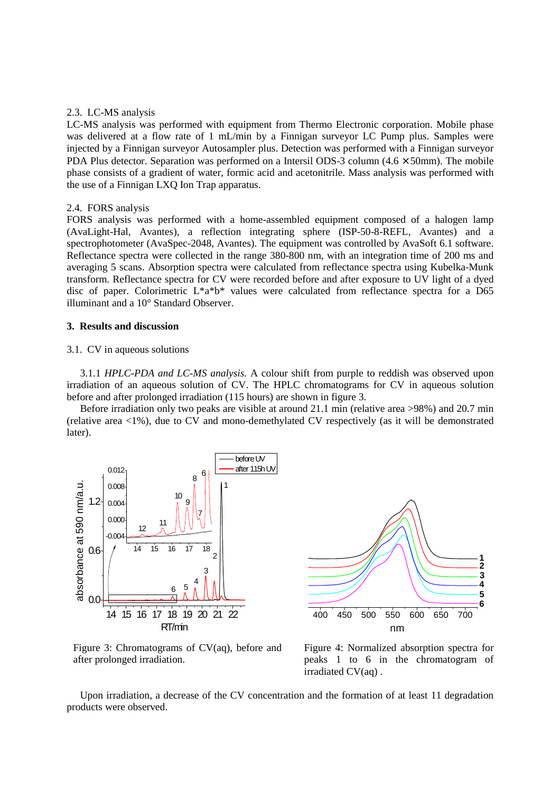## 2.3. LC-MS analysis

LC-MS analysis was performed with equipment from Thermo Electronic corporation. Mobile phase was delivered at a flow rate of 1 mL/min by a Finnigan surveyor LC Pump plus. Samples were injected by a Finnigan surveyor Autosampler plus. Detection was performed with a Finnigan surveyor PDA Plus detector. Separation was performed on a Intersil ODS-3 column  $(4.6 \times 50$ mm). The mobile phase consists of a gradient of water, formic acid and acetonitrile. Mass analysis was performed with the use of a Finnigan LXQ Ion Trap apparatus.

#### 2.4. FORS analysis

FORS analysis was performed with a home-assembled equipment composed of a halogen lamp (AvaLight-Hal, Avantes), a reflection integrating sphere (ISP-50-8-REFL, Avantes) and a spectrophotometer (AvaSpec-2048, Avantes). The equipment was controlled by AvaSoft 6.1 software. Reflectance spectra were collected in the range 380-800 nm, with an integration time of 200 ms and averaging 5 scans. Absorption spectra were calculated from reflectance spectra using Kubelka-Munk transform. Reflectance spectra for CV were recorded before and after exposure to UV light of a dyed disc of paper. Colorimetric L\*a\*b\* values were calculated from reflectance spectra for a D65 illuminant and a 10° Standard Observer.

## **3. Results and discussion**

#### 3.1. CV in aqueous solutions

3.1.1 *HPLC-PDA and LC-MS analysis.* A colour shift from purple to reddish was observed upon irradiation of an aqueous solution of CV. The HPLC chromatograms for CV in aqueous solution before and after prolonged irradiation (115 hours) are shown in figure 3.

Before irradiation only two peaks are visible at around 21.1 min (relative area >98%) and 20.7 min (relative area <1%), due to CV and mono-demethylated CV respectively (as it will be demonstrated later).





Figure 3: Chromatograms of CV(aq), before and after prolonged irradiation.

Figure 4: Normalized absorption spectra for peaks 1 to 6 in the chromatogram of irradiated CV(aq) .

Upon irradiation, a decrease of the CV concentration and the formation of at least 11 degradation products were observed.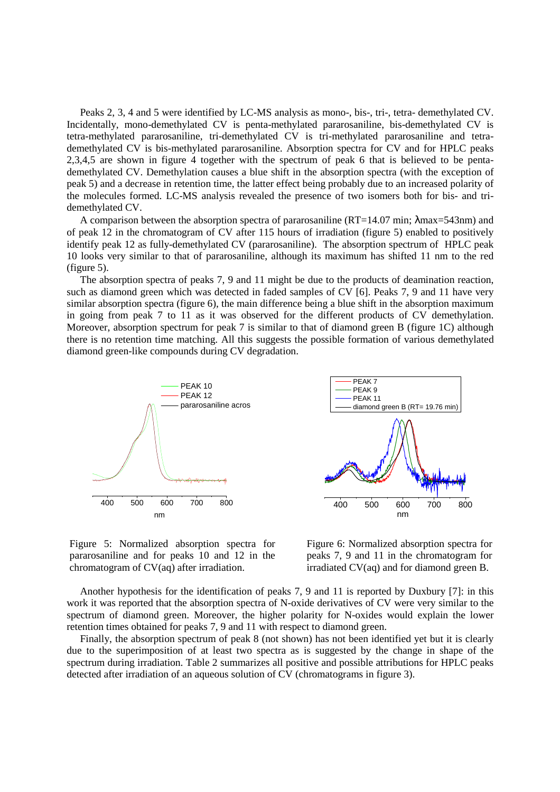Peaks 2, 3, 4 and 5 were identified by LC-MS analysis as mono-, bis-, tri-, tetra- demethylated CV. Incidentally, mono-demethylated CV is penta-methylated pararosaniline, bis-demethylated CV is tetra-methylated pararosaniline, tri-demethylated CV is tri-methylated pararosaniline and tetrademethylated CV is bis-methylated pararosaniline. Absorption spectra for CV and for HPLC peaks 2,3,4,5 are shown in figure 4 together with the spectrum of peak 6 that is believed to be pentademethylated CV. Demethylation causes a blue shift in the absorption spectra (with the exception of peak 5) and a decrease in retention time, the latter effect being probably due to an increased polarity of the molecules formed. LC-MS analysis revealed the presence of two isomers both for bis- and tridemethylated CV.

A comparison between the absorption spectra of pararosaniline (RT=14.07 min; λmax=543nm) and of peak 12 in the chromatogram of CV after 115 hours of irradiation (figure 5) enabled to positively identify peak 12 as fully-demethylated CV (pararosaniline). The absorption spectrum of HPLC peak 10 looks very similar to that of pararosaniline, although its maximum has shifted 11 nm to the red (figure 5).

The absorption spectra of peaks 7, 9 and 11 might be due to the products of deamination reaction, such as diamond green which was detected in faded samples of CV [6]. Peaks 7, 9 and 11 have very similar absorption spectra (figure 6), the main difference being a blue shift in the absorption maximum in going from peak 7 to 11 as it was observed for the different products of CV demethylation. Moreover, absorption spectrum for peak 7 is similar to that of diamond green B (figure 1C) although there is no retention time matching. All this suggests the possible formation of various demethylated diamond green-like compounds during CV degradation.



400 500 600 700 800 nm

Figure 5: Normalized absorption spectra for pararosaniline and for peaks 10 and 12 in the chromatogram of CV(aq) after irradiation.

Figure 6: Normalized absorption spectra for peaks 7, 9 and 11 in the chromatogram for irradiated CV(aq) and for diamond green B.

Another hypothesis for the identification of peaks 7, 9 and 11 is reported by Duxbury [7]: in this work it was reported that the absorption spectra of N-oxide derivatives of CV were very similar to the spectrum of diamond green. Moreover, the higher polarity for N-oxides would explain the lower retention times obtained for peaks 7, 9 and 11 with respect to diamond green.

Finally, the absorption spectrum of peak 8 (not shown) has not been identified yet but it is clearly due to the superimposition of at least two spectra as is suggested by the change in shape of the spectrum during irradiation. Table 2 summarizes all positive and possible attributions for HPLC peaks detected after irradiation of an aqueous solution of CV (chromatograms in figure 3).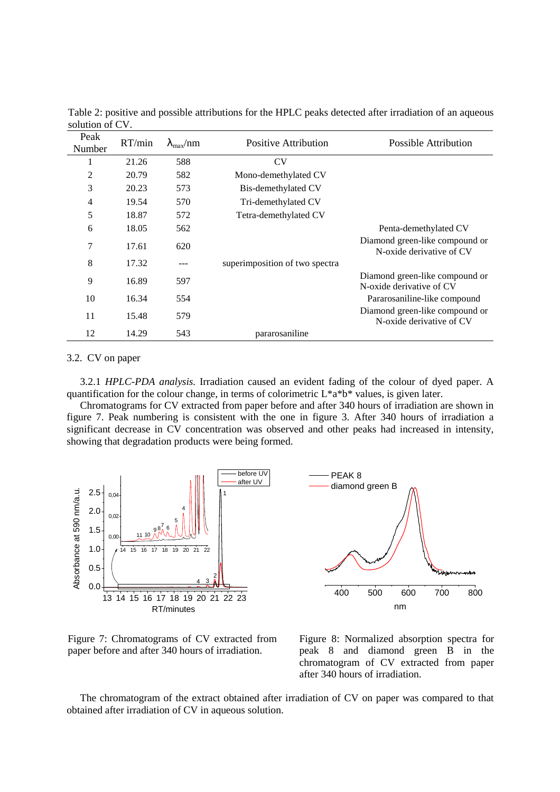| Peak<br>Number | RT/min | $\lambda_{\rm max}/\rm{nm}$ | <b>Positive Attribution</b>    | Possible Attribution                                       |
|----------------|--------|-----------------------------|--------------------------------|------------------------------------------------------------|
| 1              | 21.26  | 588                         | <b>CV</b>                      |                                                            |
| 2              | 20.79  | 582                         | Mono-demethylated CV           |                                                            |
| 3              | 20.23  | 573                         | Bis-demethylated CV            |                                                            |
| 4              | 19.54  | 570                         | Tri-demethylated CV            |                                                            |
| 5              | 18.87  | 572                         | Tetra-demethylated CV          |                                                            |
| 6              | 18.05  | 562                         |                                | Penta-demethylated CV                                      |
| 7              | 17.61  | 620                         |                                | Diamond green-like compound or<br>N-oxide derivative of CV |
| 8              | 17.32  | ---                         | superimposition of two spectra |                                                            |
| 9              | 16.89  | 597                         |                                | Diamond green-like compound or<br>N-oxide derivative of CV |
| 10             | 16.34  | 554                         |                                | Pararosaniline-like compound                               |
| 11             | 15.48  | 579                         |                                | Diamond green-like compound or<br>N-oxide derivative of CV |
| 12             | 14.29  | 543                         | pararosaniline                 |                                                            |

Table 2: positive and possible attributions for the HPLC peaks detected after irradiation of an aqueous solution of CV.

#### 3.2. CV on paper

3.2.1 *HPLC-PDA analysis.* Irradiation caused an evident fading of the colour of dyed paper. A quantification for the colour change, in terms of colorimetric  $L^*$ a\*b\* values, is given later.

Chromatograms for CV extracted from paper before and after 340 hours of irradiation are shown in figure 7. Peak numbering is consistent with the one in figure 3. After 340 hours of irradiation a significant decrease in CV concentration was observed and other peaks had increased in intensity, showing that degradation products were being formed.



Figure 7: Chromatograms of CV extracted from paper before and after 340 hours of irradiation.

Figure 8: Normalized absorption spectra for peak 8 and diamond green B in the chromatogram of CV extracted from paper after 340 hours of irradiation.

The chromatogram of the extract obtained after irradiation of CV on paper was compared to that obtained after irradiation of CV in aqueous solution.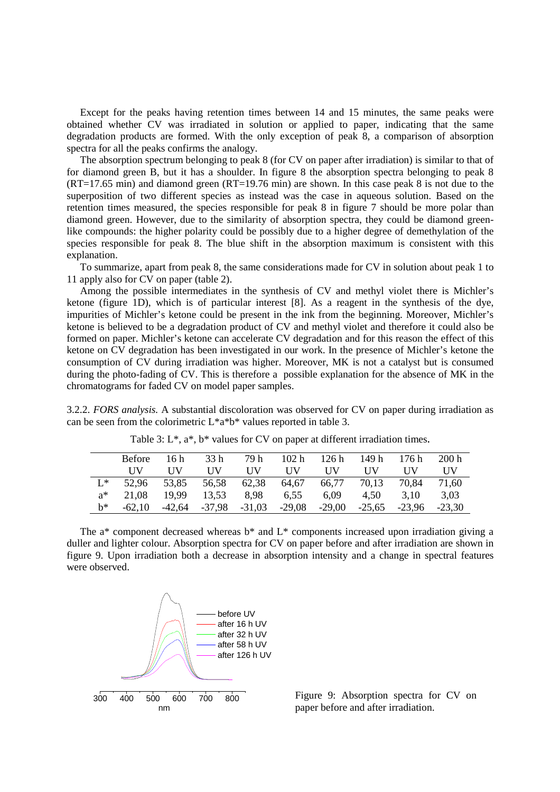Except for the peaks having retention times between 14 and 15 minutes, the same peaks were obtained whether CV was irradiated in solution or applied to paper, indicating that the same degradation products are formed. With the only exception of peak 8, a comparison of absorption spectra for all the peaks confirms the analogy.

The absorption spectrum belonging to peak 8 (for CV on paper after irradiation) is similar to that of for diamond green B, but it has a shoulder. In figure 8 the absorption spectra belonging to peak 8 (RT=17.65 min) and diamond green (RT=19.76 min) are shown. In this case peak 8 is not due to the superposition of two different species as instead was the case in aqueous solution. Based on the retention times measured, the species responsible for peak 8 in figure 7 should be more polar than diamond green. However, due to the similarity of absorption spectra, they could be diamond greenlike compounds: the higher polarity could be possibly due to a higher degree of demethylation of the species responsible for peak 8. The blue shift in the absorption maximum is consistent with this explanation.

To summarize, apart from peak 8, the same considerations made for CV in solution about peak 1 to 11 apply also for CV on paper (table 2).

Among the possible intermediates in the synthesis of CV and methyl violet there is Michler's ketone (figure 1D), which is of particular interest [8]. As a reagent in the synthesis of the dye, impurities of Michler's ketone could be present in the ink from the beginning. Moreover, Michler's ketone is believed to be a degradation product of CV and methyl violet and therefore it could also be formed on paper. Michler's ketone can accelerate CV degradation and for this reason the effect of this ketone on CV degradation has been investigated in our work. In the presence of Michler's ketone the consumption of CV during irradiation was higher. Moreover, MK is not a catalyst but is consumed during the photo-fading of CV. This is therefore a possible explanation for the absence of MK in the chromatograms for faded CV on model paper samples.

3.2.2. *FORS analysis.* A substantial discoloration was observed for CV on paper during irradiation as can be seen from the colorimetric L\*a\*b\* values reported in table 3.

|       | <b>Before</b> | 16 h       | 33 <sub>h</sub> | 79 h       | 102 h      | 126h     | 149 h      | 176 h    | 200h     |
|-------|---------------|------------|-----------------|------------|------------|----------|------------|----------|----------|
|       | НV            | <b>IIV</b> | НV              | <b>IIV</b> | <b>IIV</b> | НV       | <b>IIV</b> | НV       | НV       |
| $L^*$ | 52.96         | 53,85      | 56,58           | 62,38      | 64,67      | 66,77    | 70,13      | 70.84    | 71.60    |
| $a^*$ | 21.08         | 19.99      | 13,53           | 8,98       | 6.55       | 6.09     | 4.50       | 3,10     | 3.03     |
| h*    | $-62.10$      | -42.64     | -37.98          | $-31,03$   | $-29,08$   | $-29,00$ | $-25.65$   | $-23.96$ | $-23.30$ |

Table 3: L\*, a\*, b\* values for CV on paper at different irradiation times**.** 

The  $a^*$  component decreased whereas  $b^*$  and  $L^*$  components increased upon irradiation giving a duller and lighter colour. Absorption spectra for CV on paper before and after irradiation are shown in figure 9. Upon irradiation both a decrease in absorption intensity and a change in spectral features were observed.



Figure 9: Absorption spectra for CV on paper before and after irradiation.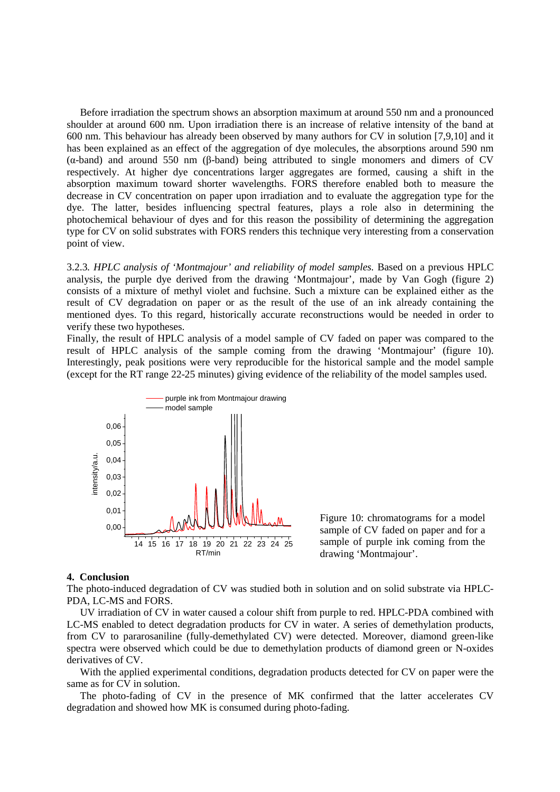Before irradiation the spectrum shows an absorption maximum at around 550 nm and a pronounced shoulder at around 600 nm. Upon irradiation there is an increase of relative intensity of the band at 600 nm. This behaviour has already been observed by many authors for CV in solution [7,9,10] and it has been explained as an effect of the aggregation of dye molecules, the absorptions around 590 nm (α-band) and around 550 nm (β-band) being attributed to single monomers and dimers of CV respectively. At higher dye concentrations larger aggregates are formed, causing a shift in the absorption maximum toward shorter wavelengths. FORS therefore enabled both to measure the decrease in CV concentration on paper upon irradiation and to evaluate the aggregation type for the dye. The latter, besides influencing spectral features, plays a role also in determining the photochemical behaviour of dyes and for this reason the possibility of determining the aggregation type for CV on solid substrates with FORS renders this technique very interesting from a conservation point of view.

3.2.3*. HPLC analysis of 'Montmajour' and reliability of model samples.* Based on a previous HPLC analysis, the purple dye derived from the drawing 'Montmajour', made by Van Gogh (figure 2) consists of a mixture of methyl violet and fuchsine. Such a mixture can be explained either as the result of CV degradation on paper or as the result of the use of an ink already containing the mentioned dyes. To this regard, historically accurate reconstructions would be needed in order to verify these two hypotheses.

Finally, the result of HPLC analysis of a model sample of CV faded on paper was compared to the result of HPLC analysis of the sample coming from the drawing 'Montmajour' (figure 10). Interestingly, peak positions were very reproducible for the historical sample and the model sample (except for the RT range 22-25 minutes) giving evidence of the reliability of the model samples used.



Figure 10: chromatograms for a model sample of CV faded on paper and for a sample of purple ink coming from the drawing 'Montmajour'.

#### **4. Conclusion**

The photo-induced degradation of CV was studied both in solution and on solid substrate via HPLC-PDA, LC-MS and FORS.

UV irradiation of CV in water caused a colour shift from purple to red. HPLC-PDA combined with LC-MS enabled to detect degradation products for CV in water. A series of demethylation products, from CV to pararosaniline (fully-demethylated CV) were detected. Moreover, diamond green-like spectra were observed which could be due to demethylation products of diamond green or N-oxides derivatives of CV.

With the applied experimental conditions, degradation products detected for CV on paper were the same as for CV in solution.

The photo-fading of CV in the presence of MK confirmed that the latter accelerates CV degradation and showed how MK is consumed during photo-fading.